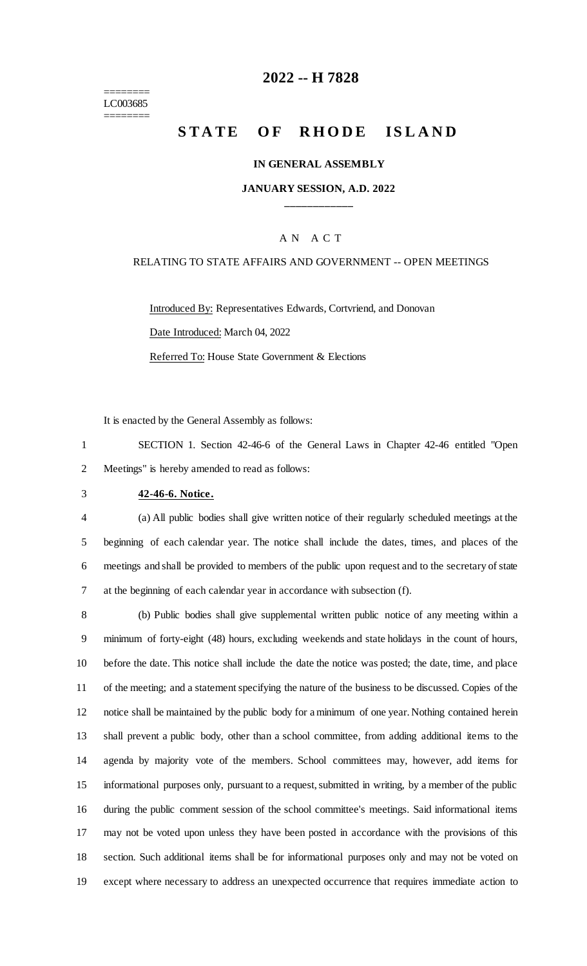======== LC003685 ========

### **-- H 7828**

# **STATE OF RHODE ISLAND**

### **IN GENERAL ASSEMBLY**

### **JANUARY SESSION, A.D. 2022 \_\_\_\_\_\_\_\_\_\_\_\_**

### A N A C T

### RELATING TO STATE AFFAIRS AND GOVERNMENT -- OPEN MEETINGS

Introduced By: Representatives Edwards, Cortvriend, and Donovan Date Introduced: March 04, 2022 Referred To: House State Government & Elections

It is enacted by the General Assembly as follows:

 SECTION 1. Section 42-46-6 of the General Laws in Chapter 42-46 entitled "Open Meetings" is hereby amended to read as follows:

#### **42-46-6. Notice.**

 (a) All public bodies shall give written notice of their regularly scheduled meetings at the beginning of each calendar year. The notice shall include the dates, times, and places of the meetings and shall be provided to members of the public upon request and to the secretary of state at the beginning of each calendar year in accordance with subsection (f).

 (b) Public bodies shall give supplemental written public notice of any meeting within a minimum of forty-eight (48) hours, excluding weekends and state holidays in the count of hours, before the date. This notice shall include the date the notice was posted; the date, time, and place of the meeting; and a statement specifying the nature of the business to be discussed. Copies of the notice shall be maintained by the public body for a minimum of one year. Nothing contained herein shall prevent a public body, other than a school committee, from adding additional items to the agenda by majority vote of the members. School committees may, however, add items for informational purposes only, pursuant to a request, submitted in writing, by a member of the public during the public comment session of the school committee's meetings. Said informational items may not be voted upon unless they have been posted in accordance with the provisions of this section. Such additional items shall be for informational purposes only and may not be voted on except where necessary to address an unexpected occurrence that requires immediate action to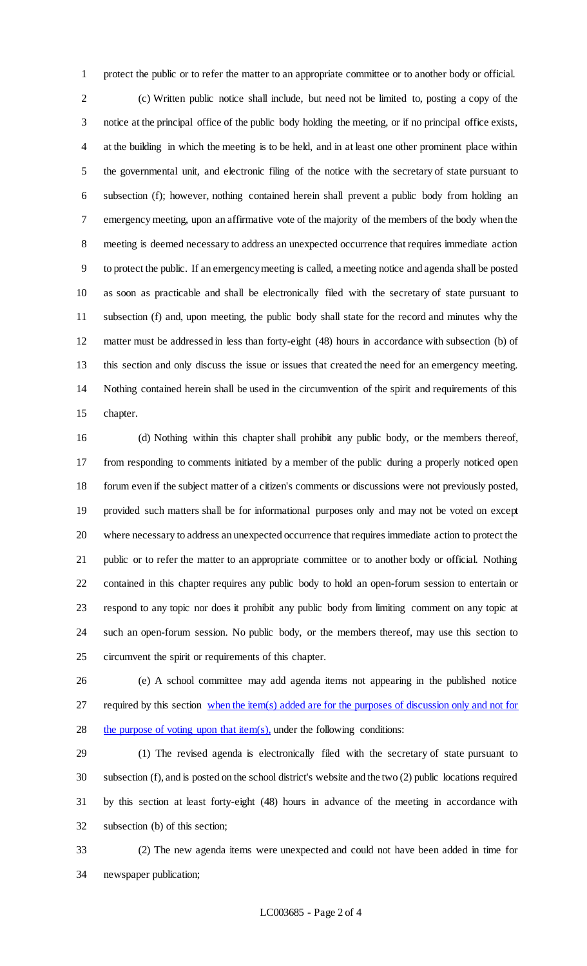protect the public or to refer the matter to an appropriate committee or to another body or official. (c) Written public notice shall include, but need not be limited to, posting a copy of the notice at the principal office of the public body holding the meeting, or if no principal office exists, at the building in which the meeting is to be held, and in at least one other prominent place within the governmental unit, and electronic filing of the notice with the secretary of state pursuant to subsection (f); however, nothing contained herein shall prevent a public body from holding an emergency meeting, upon an affirmative vote of the majority of the members of the body when the meeting is deemed necessary to address an unexpected occurrence that requires immediate action to protect the public. If an emergency meeting is called, a meeting notice and agenda shall be posted as soon as practicable and shall be electronically filed with the secretary of state pursuant to subsection (f) and, upon meeting, the public body shall state for the record and minutes why the matter must be addressed in less than forty-eight (48) hours in accordance with subsection (b) of this section and only discuss the issue or issues that created the need for an emergency meeting. Nothing contained herein shall be used in the circumvention of the spirit and requirements of this chapter.

 (d) Nothing within this chapter shall prohibit any public body, or the members thereof, from responding to comments initiated by a member of the public during a properly noticed open forum even if the subject matter of a citizen's comments or discussions were not previously posted, provided such matters shall be for informational purposes only and may not be voted on except where necessary to address an unexpected occurrence that requires immediate action to protect the public or to refer the matter to an appropriate committee or to another body or official. Nothing contained in this chapter requires any public body to hold an open-forum session to entertain or respond to any topic nor does it prohibit any public body from limiting comment on any topic at such an open-forum session. No public body, or the members thereof, may use this section to circumvent the spirit or requirements of this chapter.

 (e) A school committee may add agenda items not appearing in the published notice 27 required by this section when the item(s) added are for the purposes of discussion only and not for 28 the purpose of voting upon that item(s), under the following conditions:

 (1) The revised agenda is electronically filed with the secretary of state pursuant to subsection (f), and is posted on the school district's website and the two (2) public locations required by this section at least forty-eight (48) hours in advance of the meeting in accordance with subsection (b) of this section;

 (2) The new agenda items were unexpected and could not have been added in time for newspaper publication;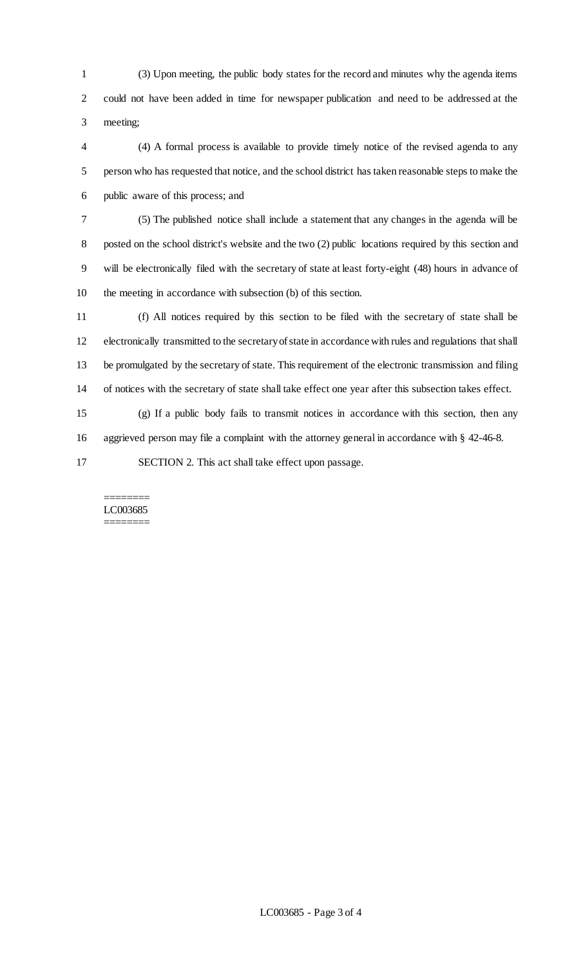(3) Upon meeting, the public body states for the record and minutes why the agenda items could not have been added in time for newspaper publication and need to be addressed at the meeting;

 (4) A formal process is available to provide timely notice of the revised agenda to any person who has requested that notice, and the school district has taken reasonable steps to make the public aware of this process; and

 (5) The published notice shall include a statement that any changes in the agenda will be posted on the school district's website and the two (2) public locations required by this section and will be electronically filed with the secretary of state at least forty-eight (48) hours in advance of the meeting in accordance with subsection (b) of this section.

 (f) All notices required by this section to be filed with the secretary of state shall be electronically transmitted to the secretary of state in accordance with rules and regulations that shall be promulgated by the secretary of state. This requirement of the electronic transmission and filing of notices with the secretary of state shall take effect one year after this subsection takes effect.

 (g) If a public body fails to transmit notices in accordance with this section, then any aggrieved person may file a complaint with the attorney general in accordance with § 42-46-8.

SECTION 2. This act shall take effect upon passage.

#### ======== LC003685 ========